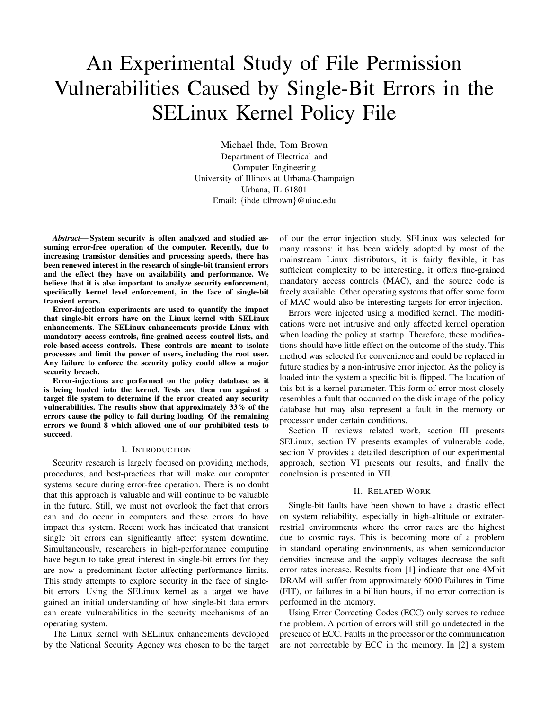# An Experimental Study of File Permission Vulnerabilities Caused by Single-Bit Errors in the SELinux Kernel Policy File

Michael Ihde, Tom Brown Department of Electrical and Computer Engineering University of Illinois at Urbana-Champaign Urbana, IL 61801 Email: {ihde tdbrown}@uiuc.edu

*Abstract***— System security is often analyzed and studied assuming error-free operation of the computer. Recently, due to increasing transistor densities and processing speeds, there has been renewed interest in the research of single-bit transient errors and the effect they have on availability and performance. We believe that it is also important to analyze security enforcement, specifically kernel level enforcement, in the face of single-bit transient errors.**

**Error-injection experiments are used to quantify the impact that single-bit errors have on the Linux kernel with SELinux enhancements. The SELinux enhancements provide Linux with mandatory access controls, fine-grained access control lists, and role-based-access controls. These controls are meant to isolate processes and limit the power of users, including the root user. Any failure to enforce the security policy could allow a major security breach.**

**Error-injections are performed on the policy database as it is being loaded into the kernel. Tests are then run against a target file system to determine if the error created any security vulnerabilities. The results show that approximately 33% of the errors cause the policy to fail during loading. Of the remaining errors we found 8 which allowed one of our prohibited tests to succeed.**

## I. INTRODUCTION

Security research is largely focused on providing methods, procedures, and best-practices that will make our computer systems secure during error-free operation. There is no doubt that this approach is valuable and will continue to be valuable in the future. Still, we must not overlook the fact that errors can and do occur in computers and these errors do have impact this system. Recent work has indicated that transient single bit errors can significantly affect system downtime. Simultaneously, researchers in high-performance computing have begun to take great interest in single-bit errors for they are now a predominant factor affecting performance limits. This study attempts to explore security in the face of singlebit errors. Using the SELinux kernel as a target we have gained an initial understanding of how single-bit data errors can create vulnerabilities in the security mechanisms of an operating system.

The Linux kernel with SELinux enhancements developed by the National Security Agency was chosen to be the target of our the error injection study. SELinux was selected for many reasons: it has been widely adopted by most of the mainstream Linux distributors, it is fairly flexible, it has sufficient complexity to be interesting, it offers fine-grained mandatory access controls (MAC), and the source code is freely available. Other operating systems that offer some form of MAC would also be interesting targets for error-injection.

Errors were injected using a modified kernel. The modifications were not intrusive and only affected kernel operation when loading the policy at startup. Therefore, these modifications should have little effect on the outcome of the study. This method was selected for convenience and could be replaced in future studies by a non-intrusive error injector. As the policy is loaded into the system a specific bit is flipped. The location of this bit is a kernel parameter. This form of error most closely resembles a fault that occurred on the disk image of the policy database but may also represent a fault in the memory or processor under certain conditions.

Section II reviews related work, section III presents SELinux, section IV presents examples of vulnerable code, section V provides a detailed description of our experimental approach, section VI presents our results, and finally the conclusion is presented in VII.

#### II. RELATED WORK

Single-bit faults have been shown to have a drastic effect on system reliability, especially in high-altitude or extraterrestrial environments where the error rates are the highest due to cosmic rays. This is becoming more of a problem in standard operating environments, as when semiconductor densities increase and the supply voltages decrease the soft error rates increase. Results from [1] indicate that one 4Mbit DRAM will suffer from approximately 6000 Failures in Time (FIT), or failures in a billion hours, if no error correction is performed in the memory.

Using Error Correcting Codes (ECC) only serves to reduce the problem. A portion of errors will still go undetected in the presence of ECC. Faults in the processor or the communication are not correctable by ECC in the memory. In [2] a system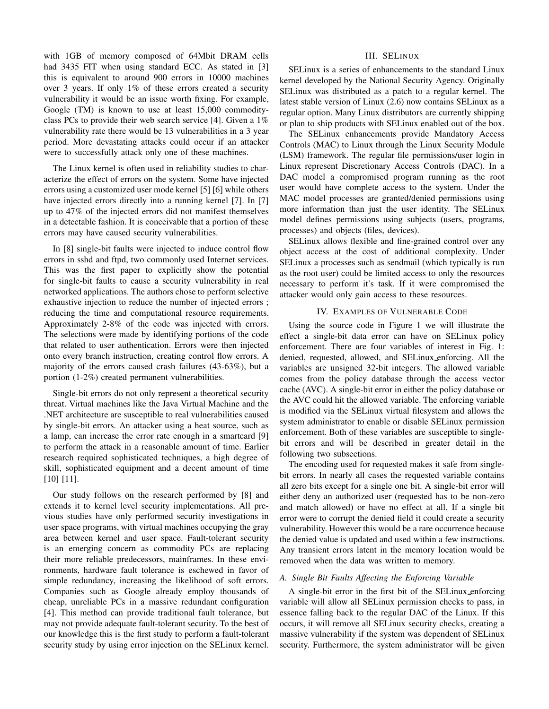with 1GB of memory composed of 64Mbit DRAM cells had 3435 FIT when using standard ECC. As stated in [3] this is equivalent to around 900 errors in 10000 machines over 3 years. If only 1% of these errors created a security vulnerability it would be an issue worth fixing. For example, Google (TM) is known to use at least 15,000 commodityclass PCs to provide their web search service [4]. Given a 1% vulnerability rate there would be 13 vulnerabilities in a 3 year period. More devastating attacks could occur if an attacker were to successfully attack only one of these machines.

The Linux kernel is often used in reliability studies to characterize the effect of errors on the system. Some have injected errors using a customized user mode kernel [5] [6] while others have injected errors directly into a running kernel [7]. In [7] up to 47% of the injected errors did not manifest themselves in a detectable fashion. It is conceivable that a portion of these errors may have caused security vulnerabilities.

In [8] single-bit faults were injected to induce control flow errors in sshd and ftpd, two commonly used Internet services. This was the first paper to explicitly show the potential for single-bit faults to cause a security vulnerability in real networked applications. The authors chose to perform selective exhaustive injection to reduce the number of injected errors ; reducing the time and computational resource requirements. Approximately 2-8% of the code was injected with errors. The selections were made by identifying portions of the code that related to user authentication. Errors were then injected onto every branch instruction, creating control flow errors. A majority of the errors caused crash failures (43-63%), but a portion (1-2%) created permanent vulnerabilities.

Single-bit errors do not only represent a theoretical security threat. Virtual machines like the Java Virtual Machine and the .NET architecture are susceptible to real vulnerabilities caused by single-bit errors. An attacker using a heat source, such as a lamp, can increase the error rate enough in a smartcard [9] to perform the attack in a reasonable amount of time. Earlier research required sophisticated techniques, a high degree of skill, sophisticated equipment and a decent amount of time [10] [11].

Our study follows on the research performed by [8] and extends it to kernel level security implementations. All previous studies have only performed security investigations in user space programs, with virtual machines occupying the gray area between kernel and user space. Fault-tolerant security is an emerging concern as commodity PCs are replacing their more reliable predecessors, mainframes. In these environments, hardware fault tolerance is eschewed in favor of simple redundancy, increasing the likelihood of soft errors. Companies such as Google already employ thousands of cheap, unreliable PCs in a massive redundant configuration [4]. This method can provide traditional fault tolerance, but may not provide adequate fault-tolerant security. To the best of our knowledge this is the first study to perform a fault-tolerant security study by using error injection on the SELinux kernel.

#### III. SELINUX

SELinux is a series of enhancements to the standard Linux kernel developed by the National Security Agency. Originally SELinux was distributed as a patch to a regular kernel. The latest stable version of Linux (2.6) now contains SELinux as a regular option. Many Linux distributors are currently shipping or plan to ship products with SELinux enabled out of the box.

The SELinux enhancements provide Mandatory Access Controls (MAC) to Linux through the Linux Security Module (LSM) framework. The regular file permissions/user login in Linux represent Discretionary Access Controls (DAC). In a DAC model a compromised program running as the root user would have complete access to the system. Under the MAC model processes are granted/denied permissions using more information than just the user identity. The SELinux model defines permissions using subjects (users, programs, processes) and objects (files, devices).

SELinux allows flexible and fine-grained control over any object access at the cost of additional complexity. Under SELinux a processes such as sendmail (which typically is run as the root user) could be limited access to only the resources necessary to perform it's task. If it were compromised the attacker would only gain access to these resources.

#### IV. EXAMPLES OF VULNERABLE CODE

Using the source code in Figure 1 we will illustrate the effect a single-bit data error can have on SELinux policy enforcement. There are four variables of interest in Fig. 1: denied, requested, allowed, and SELinux enforcing. All the variables are unsigned 32-bit integers. The allowed variable comes from the policy database through the access vector cache (AVC). A single-bit error in either the policy database or the AVC could hit the allowed variable. The enforcing variable is modified via the SELinux virtual filesystem and allows the system administrator to enable or disable SELinux permission enforcement. Both of these variables are susceptible to singlebit errors and will be described in greater detail in the following two subsections.

The encoding used for requested makes it safe from singlebit errors. In nearly all cases the requested variable contains all zero bits except for a single one bit. A single-bit error will either deny an authorized user (requested has to be non-zero and match allowed) or have no effect at all. If a single bit error were to corrupt the denied field it could create a security vulnerability. However this would be a rare occurrence because the denied value is updated and used within a few instructions. Any transient errors latent in the memory location would be removed when the data was written to memory.

#### *A. Single Bit Faults Affecting the Enforcing Variable*

A single-bit error in the first bit of the SELinux enforcing variable will allow all SELinux permission checks to pass, in essence falling back to the regular DAC of the Linux. If this occurs, it will remove all SELinux security checks, creating a massive vulnerability if the system was dependent of SELinux security. Furthermore, the system administrator will be given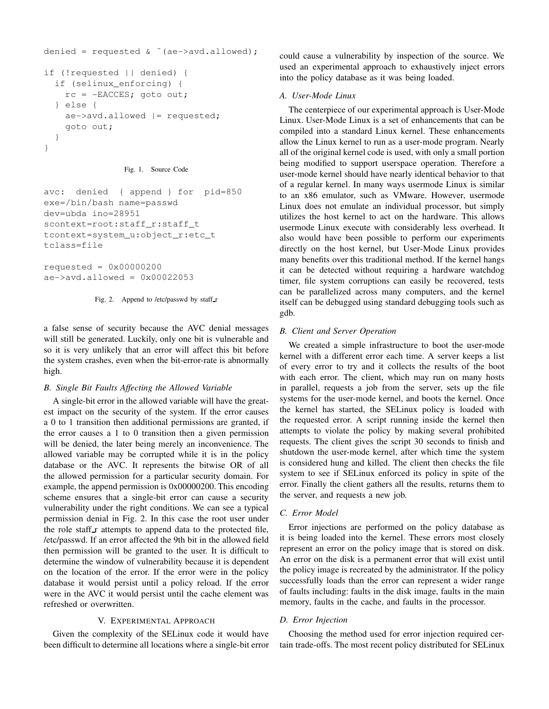```
denied = requested & ˜(ae->avd.allowed);
if (!requested || denied) {
  if (selinux_enforcing) {
    rc = -EACCES; goto out;
  } else {
    ae->avd.allowed |= requested;
    goto out;
  }
}
```

```
Fig. 1. Source Code
```

```
avc: denied { append } for pid=850
exe=/bin/bash name=passwd
dev=ubda ino=28951
scontext=root:staff_r:staff_t
tcontext=system_u:object_r:etc_t
tclass=file
```
requested =  $0 \times 00000200$  $ae->avd.allowed = 0x00022053$ 

Fig. 2. Append to /etc/passwd by staff\_r

a false sense of security because the AVC denial messages will still be generated. Luckily, only one bit is vulnerable and so it is very unlikely that an error will affect this bit before the system crashes, even when the bit-error-rate is abnormally high.

## *B. Single Bit Faults Affecting the Allowed Variable*

A single-bit error in the allowed variable will have the greatest impact on the security of the system. If the error causes a 0 to 1 transition then additional permissions are granted, if the error causes a 1 to 0 transition then a given permission will be denied, the later being merely an inconvenience. The allowed variable may be corrupted while it is in the policy database or the AVC. It represents the bitwise OR of all the allowed permission for a particular security domain. For example, the append permission is 0x00000200. This encoding scheme ensures that a single-bit error can cause a security vulnerability under the right conditions. We can see a typical permission denial in Fig. 2. In this case the root user under the role staff r attempts to append data to the protected file, /etc/passwd. If an error affected the 9th bit in the allowed field then permission will be granted to the user. It is difficult to determine the window of vulnerability because it is dependent on the location of the error. If the error were in the policy database it would persist until a policy reload. If the error were in the AVC it would persist until the cache element was refreshed or overwritten.

## V. EXPERIMENTAL APPROACH

Given the complexity of the SELinux code it would have been difficult to determine all locations where a single-bit error

could cause a vulnerability by inspection of the source. We used an experimental approach to exhaustively inject errors into the policy database as it was being loaded.

## *A. User-Mode Linux*

The centerpiece of our experimental approach is User-Mode Linux. User-Mode Linux is a set of enhancements that can be compiled into a standard Linux kernel. These enhancements allow the Linux kernel to run as a user-mode program. Nearly all of the original kernel code is used, with only a small portion being modified to support userspace operation. Therefore a user-mode kernel should have nearly identical behavior to that of a regular kernel. In many ways usermode Linux is similar to an x86 emulator, such as VMware. However, usermode Linux does not emulate an individual processor, but simply utilizes the host kernel to act on the hardware. This allows usermode Linux execute with considerably less overhead. It also would have been possible to perform our experiments directly on the host kernel, but User-Mode Linux provides many benefits over this traditional method. If the kernel hangs it can be detected without requiring a hardware watchdog timer, file system corruptions can easily be recovered, tests can be parallelized across many computers, and the kernel itself can be debugged using standard debugging tools such as gdb.

## *B. Client and Server Operation*

We created a simple infrastructure to boot the user-mode kernel with a different error each time. A server keeps a list of every error to try and it collects the results of the boot with each error. The client, which may run on many hosts in parallel, requests a job from the server, sets up the file systems for the user-mode kernel, and boots the kernel. Once the kernel has started, the SELinux policy is loaded with the requested error. A script running inside the kernel then attempts to violate the policy by making several prohibited requests. The client gives the script 30 seconds to finish and shutdown the user-mode kernel, after which time the system is considered hung and killed. The client then checks the file system to see if SELinux enforced its policy in spite of the error. Finally the client gathers all the results, returns them to the server, and requests a new job.

## *C. Error Model*

Error injections are performed on the policy database as it is being loaded into the kernel. These errors most closely represent an error on the policy image that is stored on disk. An error on the disk is a permanent error that will exist until the policy image is recreated by the administrator. If the policy successfully loads than the error can represent a wider range of faults including: faults in the disk image, faults in the main memory, faults in the cache, and faults in the processor.

## *D. Error Injection*

Choosing the method used for error injection required certain trade-offs. The most recent policy distributed for SELinux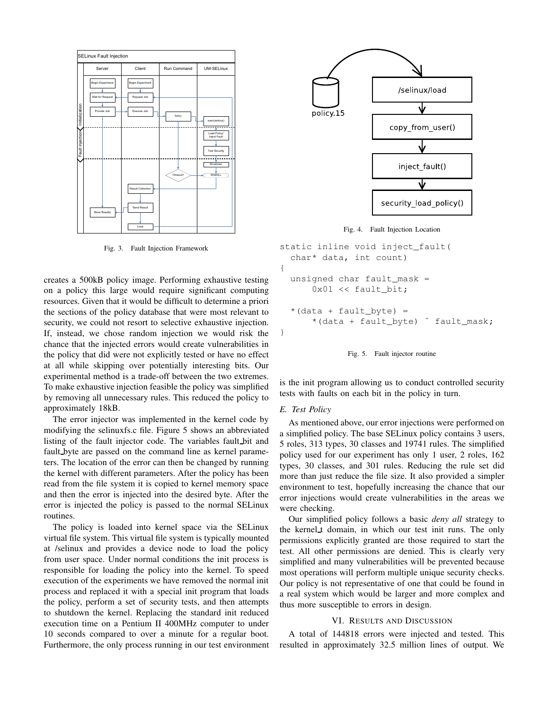

Fig. 3. Fault Injection Framework

creates a 500kB policy image. Performing exhaustive testing on a policy this large would require significant computing resources. Given that it would be difficult to determine a priori the sections of the policy database that were most relevant to security, we could not resort to selective exhaustive injection. If, instead, we chose random injection we would risk the chance that the injected errors would create vulnerabilities in the policy that did were not explicitly tested or have no effect at all while skipping over potentially interesting bits. Our experimental method is a trade-off between the two extremes. To make exhaustive injection feasible the policy was simplified by removing all unnecessary rules. This reduced the policy to approximately 18kB.

The error injector was implemented in the kernel code by modifying the selinuxfs.c file. Figure 5 shows an abbreviated listing of the fault injector code. The variables fault bit and fault byte are passed on the command line as kernel parameters. The location of the error can then be changed by running the kernel with different parameters. After the policy has been read from the file system it is copied to kernel memory space and then the error is injected into the desired byte. After the error is injected the policy is passed to the normal SELinux routines.

The policy is loaded into kernel space via the SELinux virtual file system. This virtual file system is typically mounted at /selinux and provides a device node to load the policy from user space. Under normal conditions the init process is responsible for loading the policy into the kernel. To speed execution of the experiments we have removed the normal init process and replaced it with a special init program that loads the policy, perform a set of security tests, and then attempts to shutdown the kernel. Replacing the standard init reduced execution time on a Pentium II 400MHz computer to under 10 seconds compared to over a minute for a regular boot. Furthermore, the only process running in our test environment



Fig. 4. Fault Injection Location

```
static inline void inject_fault(
  char* data, int count)
{
  unsigned char fault mask =0x01 << fault_bit;
  *(data + fault_byte) =*(data + fault byte) ^ fault mask;
}
```


is the init program allowing us to conduct controlled security tests with faults on each bit in the policy in turn.

### *E. Test Policy*

As mentioned above, our error injections were performed on a simplified policy. The base SELinux policy contains 3 users, 5 roles, 313 types, 30 classes and 19741 rules. The simplified policy used for our experiment has only 1 user, 2 roles, 162 types, 30 classes, and 301 rules. Reducing the rule set did more than just reduce the file size. It also provided a simpler environment to test, hopefully increasing the chance that our error injections would create vulnerabilities in the areas we were checking.

Our simplified policy follows a basic *deny all* strategy to the kernel t domain, in which our test init runs. The only permissions explicitly granted are those required to start the test. All other permissions are denied. This is clearly very simplified and many vulnerabilities will be prevented because most operations will perform multiple unique security checks. Our policy is not representative of one that could be found in a real system which would be larger and more complex and thus more susceptible to errors in design.

## VI. RESULTS AND DISCUSSION

A total of 144818 errors were injected and tested. This resulted in approximately 32.5 million lines of output. We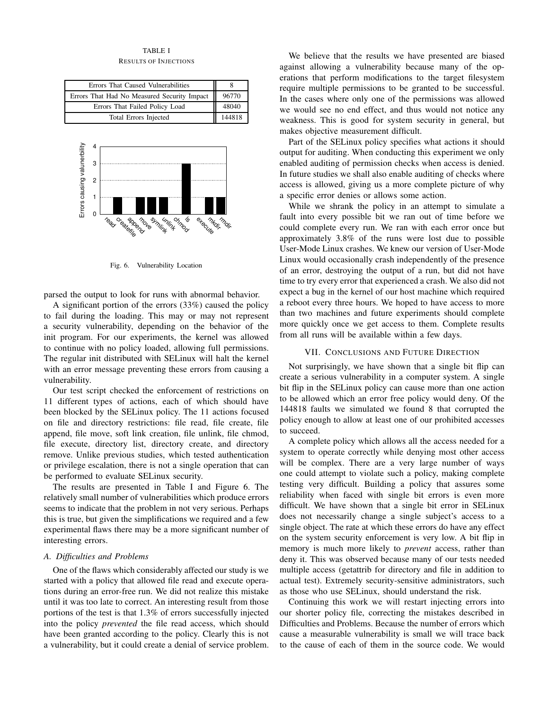## TABLE I

RESULTS OF INJECTIONS

| Errors That Caused Vulnerabilities          |        |
|---------------------------------------------|--------|
| Errors That Had No Measured Security Impact | 96770  |
| Errors That Failed Policy Load              | 48040  |
| <b>Total Errors Injected</b>                | 144818 |



Fig. 6. Vulnerability Location

parsed the output to look for runs with abnormal behavior.

A significant portion of the errors (33%) caused the policy to fail during the loading. This may or may not represent a security vulnerability, depending on the behavior of the init program. For our experiments, the kernel was allowed to continue with no policy loaded, allowing full permissions. The regular init distributed with SELinux will halt the kernel with an error message preventing these errors from causing a vulnerability.

Our test script checked the enforcement of restrictions on 11 different types of actions, each of which should have been blocked by the SELinux policy. The 11 actions focused on file and directory restrictions: file read, file create, file append, file move, soft link creation, file unlink, file chmod, file execute, directory list, directory create, and directory remove. Unlike previous studies, which tested authentication or privilege escalation, there is not a single operation that can be performed to evaluate SELinux security.

The results are presented in Table I and Figure 6. The relatively small number of vulnerabilities which produce errors seems to indicate that the problem in not very serious. Perhaps this is true, but given the simplifications we required and a few experimental flaws there may be a more significant number of interesting errors.

## *A. Difficulties and Problems*

One of the flaws which considerably affected our study is we started with a policy that allowed file read and execute operations during an error-free run. We did not realize this mistake until it was too late to correct. An interesting result from those portions of the test is that 1.3% of errors successfully injected into the policy *prevented* the file read access, which should have been granted according to the policy. Clearly this is not a vulnerability, but it could create a denial of service problem.

We believe that the results we have presented are biased against allowing a vulnerability because many of the operations that perform modifications to the target filesystem require multiple permissions to be granted to be successful. In the cases where only one of the permissions was allowed we would see no end effect, and thus would not notice any weakness. This is good for system security in general, but makes objective measurement difficult.

Part of the SELinux policy specifies what actions it should output for auditing. When conducting this experiment we only enabled auditing of permission checks when access is denied. In future studies we shall also enable auditing of checks where access is allowed, giving us a more complete picture of why a specific error denies or allows some action.

While we shrank the policy in an attempt to simulate a fault into every possible bit we ran out of time before we could complete every run. We ran with each error once but approximately 3.8% of the runs were lost due to possible User-Mode Linux crashes. We knew our version of User-Mode Linux would occasionally crash independently of the presence of an error, destroying the output of a run, but did not have time to try every error that experienced a crash. We also did not expect a bug in the kernel of our host machine which required a reboot every three hours. We hoped to have access to more than two machines and future experiments should complete more quickly once we get access to them. Complete results from all runs will be available within a few days.

### VII. CONCLUSIONS AND FUTURE DIRECTION

Not surprisingly, we have shown that a single bit flip can create a serious vulnerability in a computer system. A single bit flip in the SELinux policy can cause more than one action to be allowed which an error free policy would deny. Of the 144818 faults we simulated we found 8 that corrupted the policy enough to allow at least one of our prohibited accesses to succeed.

A complete policy which allows all the access needed for a system to operate correctly while denying most other access will be complex. There are a very large number of ways one could attempt to violate such a policy, making complete testing very difficult. Building a policy that assures some reliability when faced with single bit errors is even more difficult. We have shown that a single bit error in SELinux does not necessarily change a single subject's access to a single object. The rate at which these errors do have any effect on the system security enforcement is very low. A bit flip in memory is much more likely to *prevent* access, rather than deny it. This was observed because many of our tests needed multiple access (getattrib for directory and file in addition to actual test). Extremely security-sensitive administrators, such as those who use SELinux, should understand the risk.

Continuing this work we will restart injecting errors into our shorter policy file, correcting the mistakes described in Difficulties and Problems. Because the number of errors which cause a measurable vulnerability is small we will trace back to the cause of each of them in the source code. We would